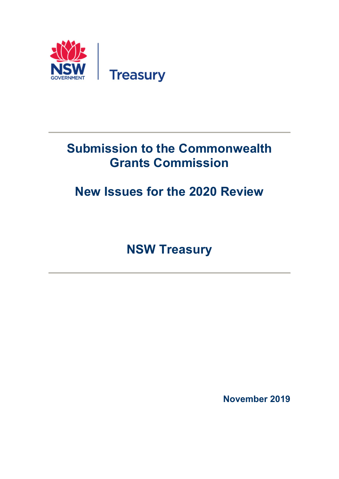

## Submission to the Commonwealth Grants Commission

# New Issues for the 2020 Review

NSW Treasury

November 2019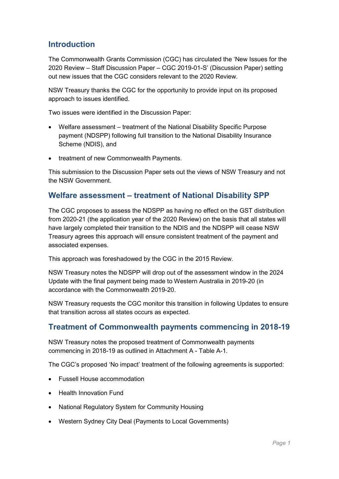### **Introduction**

The Commonwealth Grants Commission (CGC) has circulated the 'New Issues for the 2020 Review – Staff Discussion Paper – CGC 2019-01-S' (Discussion Paper) setting out new issues that the CGC considers relevant to the 2020 Review.

NSW Treasury thanks the CGC for the opportunity to provide input on its proposed approach to issues identified.

Two issues were identified in the Discussion Paper:

- Welfare assessment treatment of the National Disability Specific Purpose payment (NDSPP) following full transition to the National Disability Insurance Scheme (NDIS), and
- treatment of new Commonwealth Payments.

This submission to the Discussion Paper sets out the views of NSW Treasury and not the NSW Government.

#### Welfare assessment – treatment of National Disability SPP

The CGC proposes to assess the NDSPP as having no effect on the GST distribution from 2020-21 (the application year of the 2020 Review) on the basis that all states will have largely completed their transition to the NDIS and the NDSPP will cease NSW Treasury agrees this approach will ensure consistent treatment of the payment and associated expenses.

This approach was foreshadowed by the CGC in the 2015 Review.

NSW Treasury notes the NDSPP will drop out of the assessment window in the 2024 Update with the final payment being made to Western Australia in 2019-20 (in accordance with the Commonwealth 2019-20.

NSW Treasury requests the CGC monitor this transition in following Updates to ensure that transition across all states occurs as expected.

### Treatment of Commonwealth payments commencing in 2018-19

NSW Treasury notes the proposed treatment of Commonwealth payments commencing in 2018-19 as outlined in Attachment A - Table A-1.

The CGC's proposed 'No impact' treatment of the following agreements is supported:

- Fussell House accommodation
- Health Innovation Fund
- National Regulatory System for Community Housing
- Western Sydney City Deal (Payments to Local Governments)